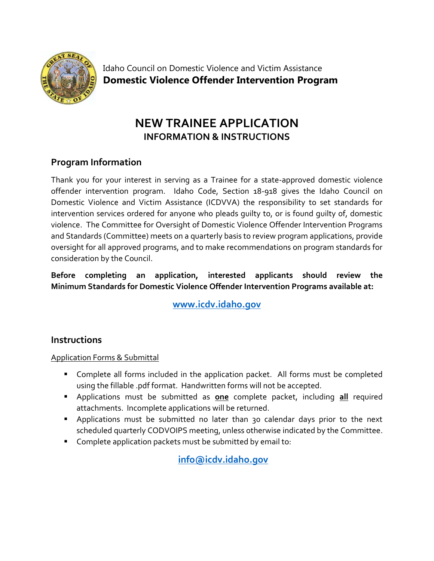

Idaho Council on Domestic Violence and Victim Assistance **Domestic Violence Offender Intervention Program**

# **NEW TRAINEE APPLICATION INFORMATION & INSTRUCTIONS**

# **Program Information**

Thank you for your interest in serving as a Trainee for a state-approved domestic violence offender intervention program. Idaho Code, Section 18-918 gives the Idaho Council on Domestic Violence and Victim Assistance (ICDVVA) the responsibility to set standards for intervention services ordered for anyone who pleads guilty to, or is found guilty of, domestic violence. The Committee for Oversight of Domestic Violence Offender Intervention Programs and Standards (Committee) meets on a quarterly basis to review program applications, provide oversight for all approved programs, and to make recommendations on program standards for consideration by the Council.

**Before completing an application, interested applicants should review the Minimum Standards for Domestic Violence Offender Intervention Programs available at:**

**[www.icdv.idaho.gov](https://icdv.idaho.gov/wp-content/uploads/sites/80/2019/10/MinimumStandardsForDVOffenderInterventionProgramsFINAL.pdf)**

## **Instructions**

#### Application Forms & Submittal

- Complete all forms included in the application packet. All forms must be completed using the fillable .pdf format. Handwritten forms will not be accepted.
- Applications must be submitted as **one** complete packet, including **all** required attachments. Incomplete applications will be returned.
- Applications must be submitted no later than 30 calendar days prior to the next scheduled quarterly CODVOIPS meeting, unless otherwise indicated by the Committee.
- Complete application packets must be submitted by email to:

**[info@icdv.idaho.gov](mailto:info@icdv.idaho.gov)**